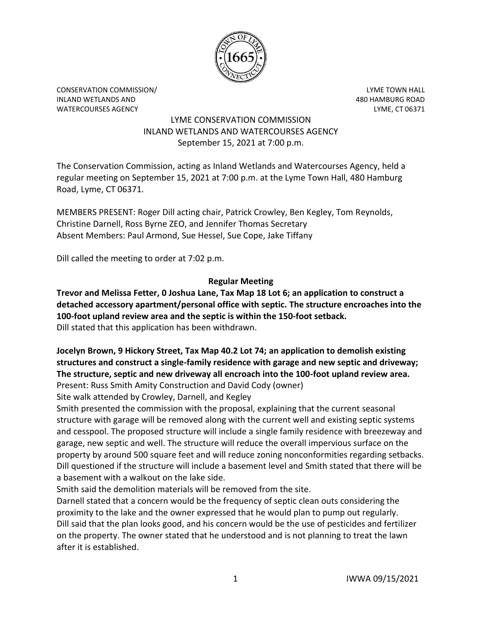

CONSERVATION COMMISSION/ LYME TOWN HALL INLAND WETLANDS AND 480 HAMBURG ROAD WATERCOURSES AGENCY **Example 20 and 20 and 20 and 20 and 20 and 20 and 20 and 20 and 20 and 20 and 20 and 20 and 20 and 20 and 20 and 20 and 20 and 20 and 20 and 20 and 20 and 20 and 20 and 20 and 20 and 20 and 20 and 20 a** 

# LYME CONSERVATION COMMISSION INLAND WETLANDS AND WATERCOURSES AGENCY September 15, 2021 at 7:00 p.m.

The Conservation Commission, acting as Inland Wetlands and Watercourses Agency, held a regular meeting on September 15, 2021 at 7:00 p.m. at the Lyme Town Hall, 480 Hamburg Road, Lyme, CT 06371.

MEMBERS PRESENT: Roger Dill acting chair, Patrick Crowley, Ben Kegley, Tom Reynolds, Christine Darnell, Ross Byrne ZEO, and Jennifer Thomas Secretary Absent Members: Paul Armond, Sue Hessel, Sue Cope, Jake Tiffany

Dill called the meeting to order at 7:02 p.m.

# **Regular Meeting**

**Trevor and Melissa Fetter, 0 Joshua Lane, Tax Map 18 Lot 6; an application to construct a detached accessory apartment/personal office with septic. The structure encroaches into the 100-foot upland review area and the septic is within the 150-foot setback.**  Dill stated that this application has been withdrawn.

# **Jocelyn Brown, 9 Hickory Street, Tax Map 40.2 Lot 74; an application to demolish existing structures and construct a single-family residence with garage and new septic and driveway; The structure, septic and new driveway all encroach into the 100-foot upland review area.**  Present: Russ Smith Amity Construction and David Cody (owner)

Site walk attended by Crowley, Darnell, and Kegley

Smith presented the commission with the proposal, explaining that the current seasonal structure with garage will be removed along with the current well and existing septic systems and cesspool. The proposed structure will include a single family residence with breezeway and garage, new septic and well. The structure will reduce the overall impervious surface on the property by around 500 square feet and will reduce zoning nonconformities regarding setbacks. Dill questioned if the structure will include a basement level and Smith stated that there will be a basement with a walkout on the lake side.

Smith said the demolition materials will be removed from the site.

Darnell stated that a concern would be the frequency of septic clean outs considering the proximity to the lake and the owner expressed that he would plan to pump out regularly. Dill said that the plan looks good, and his concern would be the use of pesticides and fertilizer on the property. The owner stated that he understood and is not planning to treat the lawn after it is established.